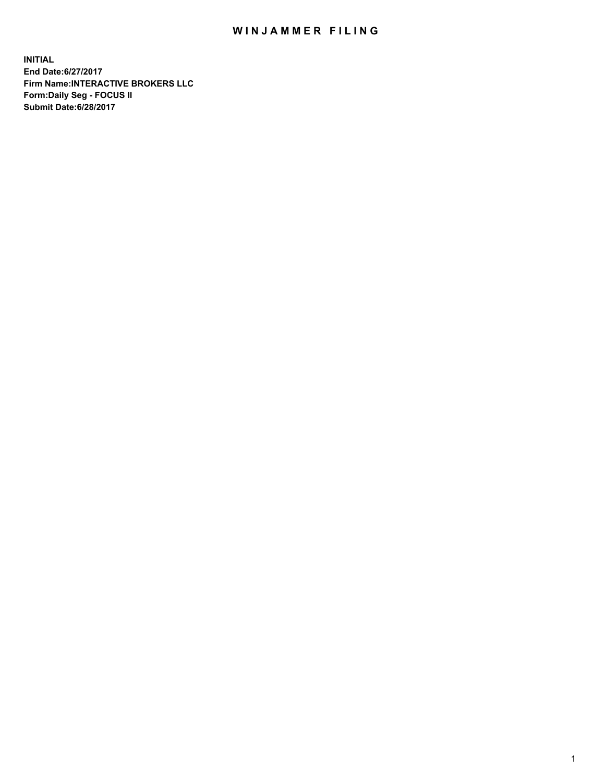## WIN JAMMER FILING

**INITIAL End Date:6/27/2017 Firm Name:INTERACTIVE BROKERS LLC Form:Daily Seg - FOCUS II Submit Date:6/28/2017**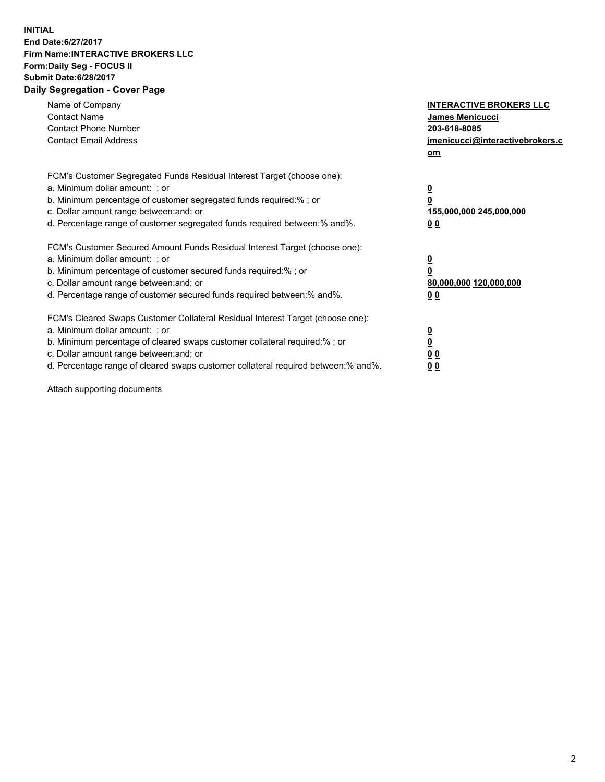## **INITIAL End Date:6/27/2017 Firm Name:INTERACTIVE BROKERS LLC Form:Daily Seg - FOCUS II Submit Date:6/28/2017 Daily Segregation - Cover Page**

| Name of Company<br><b>Contact Name</b><br><b>Contact Phone Number</b><br><b>Contact Email Address</b>                                                                                                                                                                                                                          | <b>INTERACTIVE BROKERS LLC</b><br>James Menicucci<br>203-618-8085<br>jmenicucci@interactivebrokers.c<br>om |
|--------------------------------------------------------------------------------------------------------------------------------------------------------------------------------------------------------------------------------------------------------------------------------------------------------------------------------|------------------------------------------------------------------------------------------------------------|
| FCM's Customer Segregated Funds Residual Interest Target (choose one):<br>a. Minimum dollar amount: ; or<br>b. Minimum percentage of customer segregated funds required:%; or<br>c. Dollar amount range between: and; or<br>d. Percentage range of customer segregated funds required between:% and%.                          | $\overline{\mathbf{0}}$<br>0<br>155,000,000 245,000,000<br>0 <sub>0</sub>                                  |
| FCM's Customer Secured Amount Funds Residual Interest Target (choose one):<br>a. Minimum dollar amount: ; or<br>b. Minimum percentage of customer secured funds required:%; or<br>c. Dollar amount range between: and; or<br>d. Percentage range of customer secured funds required between:% and%.                            | $\overline{\mathbf{0}}$<br>$\overline{\mathbf{0}}$<br>80,000,000 120,000,000<br>00                         |
| FCM's Cleared Swaps Customer Collateral Residual Interest Target (choose one):<br>a. Minimum dollar amount: ; or<br>b. Minimum percentage of cleared swaps customer collateral required:% ; or<br>c. Dollar amount range between: and; or<br>d. Percentage range of cleared swaps customer collateral required between:% and%. | $\overline{\mathbf{0}}$<br>$\overline{\mathbf{0}}$<br>0 <sub>0</sub><br><u>00</u>                          |

Attach supporting documents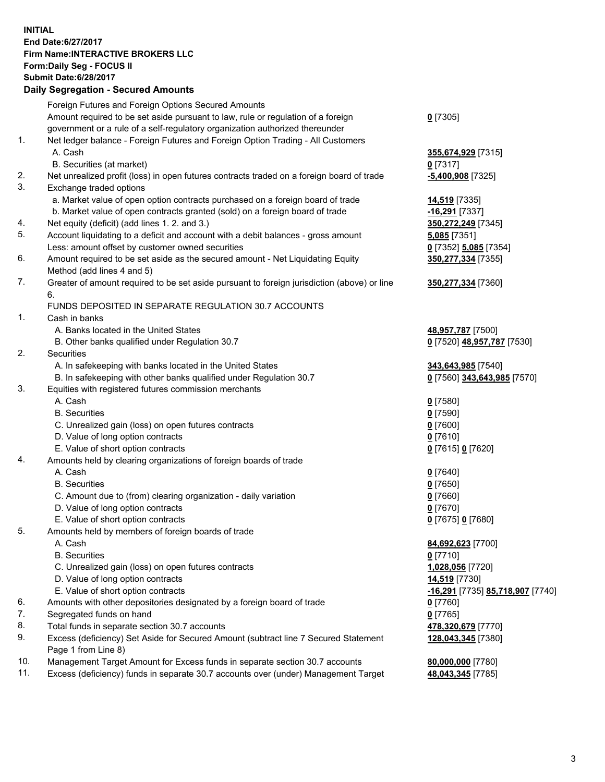## **INITIAL End Date:6/27/2017 Firm Name:INTERACTIVE BROKERS LLC Form:Daily Seg - FOCUS II Submit Date:6/28/2017 Daily Segregation - Secured Amounts**

|     | Daily Jegiegation - Jeculeu Alliounts                                                                      |                                  |
|-----|------------------------------------------------------------------------------------------------------------|----------------------------------|
|     | Foreign Futures and Foreign Options Secured Amounts                                                        |                                  |
|     | Amount required to be set aside pursuant to law, rule or regulation of a foreign                           | $0$ [7305]                       |
|     | government or a rule of a self-regulatory organization authorized thereunder                               |                                  |
| 1.  | Net ledger balance - Foreign Futures and Foreign Option Trading - All Customers                            |                                  |
|     | A. Cash                                                                                                    | 355,674,929 [7315]               |
|     | B. Securities (at market)                                                                                  | $0$ [7317]                       |
| 2.  | Net unrealized profit (loss) in open futures contracts traded on a foreign board of trade                  | -5,400,908 [7325]                |
| 3.  | Exchange traded options                                                                                    |                                  |
|     | a. Market value of open option contracts purchased on a foreign board of trade                             | 14,519 [7335]                    |
|     | b. Market value of open contracts granted (sold) on a foreign board of trade                               | -16,291 [7337]                   |
| 4.  | Net equity (deficit) (add lines 1. 2. and 3.)                                                              | 350,272,249 [7345]               |
| 5.  | Account liquidating to a deficit and account with a debit balances - gross amount                          | <b>5,085</b> [7351]              |
|     | Less: amount offset by customer owned securities                                                           | 0 [7352] 5,085 [7354]            |
| 6.  | Amount required to be set aside as the secured amount - Net Liquidating Equity                             | 350,277,334 [7355]               |
|     | Method (add lines 4 and 5)                                                                                 |                                  |
| 7.  | Greater of amount required to be set aside pursuant to foreign jurisdiction (above) or line                | 350,277,334 [7360]               |
|     | 6.                                                                                                         |                                  |
|     | FUNDS DEPOSITED IN SEPARATE REGULATION 30.7 ACCOUNTS                                                       |                                  |
| 1.  | Cash in banks                                                                                              |                                  |
|     | A. Banks located in the United States                                                                      | 48,957,787 [7500]                |
|     | B. Other banks qualified under Regulation 30.7                                                             | 0 [7520] 48,957,787 [7530]       |
| 2.  | Securities                                                                                                 |                                  |
|     | A. In safekeeping with banks located in the United States                                                  | 343,643,985 [7540]               |
|     | B. In safekeeping with other banks qualified under Regulation 30.7                                         | 0 [7560] 343,643,985 [7570]      |
| 3.  | Equities with registered futures commission merchants                                                      |                                  |
|     | A. Cash                                                                                                    | $0$ [7580]                       |
|     | <b>B.</b> Securities                                                                                       | $0$ [7590]                       |
|     | C. Unrealized gain (loss) on open futures contracts                                                        | $0$ [7600]                       |
|     | D. Value of long option contracts                                                                          | $0$ [7610]                       |
|     | E. Value of short option contracts                                                                         | 0 [7615] 0 [7620]                |
| 4.  | Amounts held by clearing organizations of foreign boards of trade                                          |                                  |
|     | A. Cash                                                                                                    | $0$ [7640]                       |
|     | <b>B.</b> Securities                                                                                       | $0$ [7650]                       |
|     | C. Amount due to (from) clearing organization - daily variation                                            | $0$ [7660]                       |
|     | D. Value of long option contracts                                                                          | $0$ [7670]                       |
|     | E. Value of short option contracts                                                                         | 0 [7675] 0 [7680]                |
| 5.  | Amounts held by members of foreign boards of trade                                                         |                                  |
|     | A. Cash                                                                                                    | 84,692,623 [7700]                |
|     | <b>B.</b> Securities                                                                                       | $0$ [7710]                       |
|     | C. Unrealized gain (loss) on open futures contracts                                                        | 1,028,056 [7720]                 |
|     | D. Value of long option contracts                                                                          | 14,519 [7730]                    |
|     | E. Value of short option contracts                                                                         | -16,291 [7735] 85,718,907 [7740] |
| 6.  | Amounts with other depositories designated by a foreign board of trade                                     | 0 [7760]                         |
| 7.  | Segregated funds on hand                                                                                   | $0$ [7765]                       |
| 8.  | Total funds in separate section 30.7 accounts                                                              | 478,320,679 [7770]               |
| 9.  | Excess (deficiency) Set Aside for Secured Amount (subtract line 7 Secured Statement<br>Page 1 from Line 8) | 128,043,345 [7380]               |
| 10. | Management Target Amount for Excess funds in separate section 30.7 accounts                                | 80,000,000 [7780]                |
| 11. | Excess (deficiency) funds in separate 30.7 accounts over (under) Management Target                         | 48,043,345 [7785]                |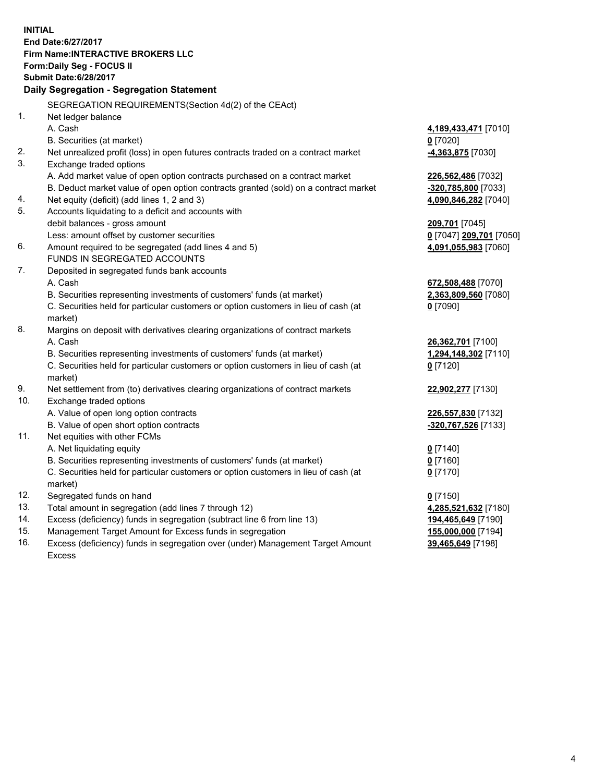**INITIAL End Date:6/27/2017 Firm Name:INTERACTIVE BROKERS LLC Form:Daily Seg - FOCUS II Submit Date:6/28/2017 Daily Segregation - Segregation Statement** SEGREGATION REQUIREMENTS(Section 4d(2) of the CEAct) 1. Net ledger balance A. Cash **4,189,433,471** [7010] B. Securities (at market) **0** [7020] 2. Net unrealized profit (loss) in open futures contracts traded on a contract market **-4,363,875** [7030] 3. Exchange traded options A. Add market value of open option contracts purchased on a contract market **226,562,486** [7032] B. Deduct market value of open option contracts granted (sold) on a contract market **-320,785,800** [7033] 4. Net equity (deficit) (add lines 1, 2 and 3) **4,090,846,282** [7040] 5. Accounts liquidating to a deficit and accounts with debit balances - gross amount **209,701** [7045] Less: amount offset by customer securities **0** [7047] **209,701** [7050] 6. Amount required to be segregated (add lines 4 and 5) **4,091,055,983** [7060] FUNDS IN SEGREGATED ACCOUNTS 7. Deposited in segregated funds bank accounts A. Cash **672,508,488** [7070] B. Securities representing investments of customers' funds (at market) **2,363,809,560** [7080] C. Securities held for particular customers or option customers in lieu of cash (at market) **0** [7090] 8. Margins on deposit with derivatives clearing organizations of contract markets A. Cash **26,362,701** [7100] B. Securities representing investments of customers' funds (at market) **1,294,148,302** [7110] C. Securities held for particular customers or option customers in lieu of cash (at market) **0** [7120] 9. Net settlement from (to) derivatives clearing organizations of contract markets **22,902,277** [7130] 10. Exchange traded options A. Value of open long option contracts **226,557,830** [7132] B. Value of open short option contracts **-320,767,526** [7133] 11. Net equities with other FCMs A. Net liquidating equity **0** [7140] B. Securities representing investments of customers' funds (at market) **0** [7160] C. Securities held for particular customers or option customers in lieu of cash (at market) **0** [7170] 12. Segregated funds on hand **0** [7150] 13. Total amount in segregation (add lines 7 through 12) **4,285,521,632** [7180] 14. Excess (deficiency) funds in segregation (subtract line 6 from line 13) **194,465,649** [7190] 15. Management Target Amount for Excess funds in segregation **155,000,000** [7194] **39,465,649** [7198]

16. Excess (deficiency) funds in segregation over (under) Management Target Amount Excess